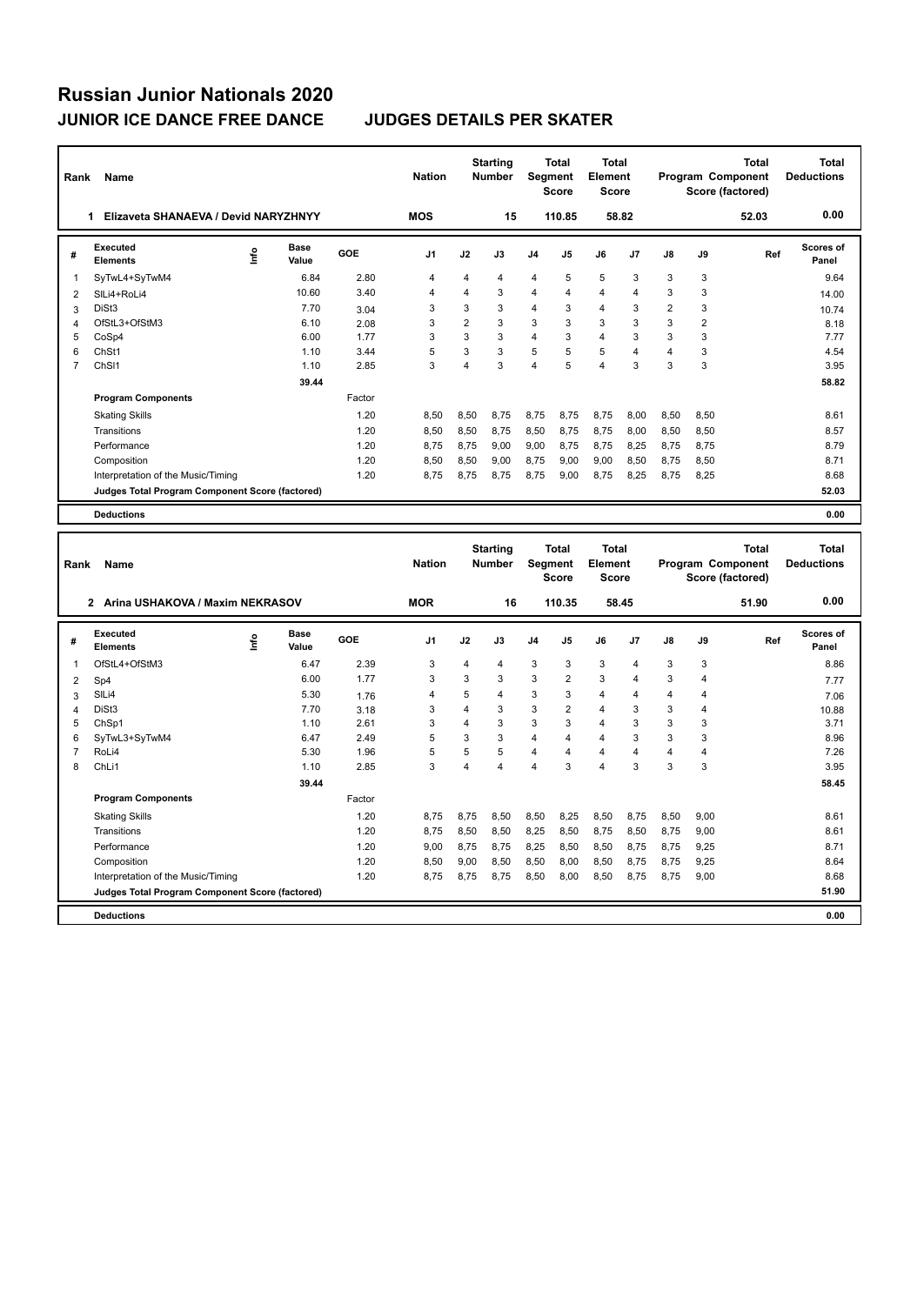**Program Components** 

| Rank           | Name                                            |    |                      |        | <b>Nation</b>  |                         | <b>Starting</b><br><b>Number</b> |                | Total<br><b>Segment</b><br><b>Score</b> | <b>Total</b><br>Element<br><b>Score</b> |                         |                         |                | Total<br>Program Component<br>Score (factored)        | Total<br><b>Deductions</b>        |
|----------------|-------------------------------------------------|----|----------------------|--------|----------------|-------------------------|----------------------------------|----------------|-----------------------------------------|-----------------------------------------|-------------------------|-------------------------|----------------|-------------------------------------------------------|-----------------------------------|
|                | 1 Elizaveta SHANAEVA / Devid NARYZHNYY          |    |                      |        | <b>MOS</b>     |                         | 15                               |                | 110.85                                  |                                         | 58.82                   |                         |                | 52.03                                                 | 0.00                              |
| #              | <b>Executed</b><br><b>Elements</b>              | ۴ů | Base<br>Value        | GOE    | J <sub>1</sub> | J2                      | J3                               | J4             | J5                                      | J6                                      | J <sub>7</sub>          | J8                      | J9             | Ref                                                   | <b>Scores of</b><br>Panel         |
| 1              | SyTwL4+SyTwM4                                   |    | 6.84                 | 2.80   | 4              | 4                       | 4                                | 4              | 5                                       | 5                                       | 3                       | 3                       | 3              |                                                       | 9.64                              |
| 2              | SILi4+RoLi4                                     |    | 10.60                | 3.40   | 4              | 4                       | 3                                | 4              | $\overline{4}$                          | $\overline{4}$                          | 4                       | 3                       | 3              |                                                       | 14.00                             |
| 3              | DiSt <sub>3</sub>                               |    | 7.70                 | 3.04   | 3              | 3                       | 3                                | 4              | 3                                       | $\overline{4}$                          | 3                       | $\overline{2}$          | 3              |                                                       | 10.74                             |
| 4              | OfStL3+OfStM3                                   |    | 6.10                 | 2.08   | 3              | $\overline{2}$          | 3                                | 3              | 3                                       | 3                                       | 3                       | 3                       | $\overline{2}$ |                                                       | 8.18                              |
| 5              | CoSp4                                           |    | 6.00                 | 1.77   | 3              | 3                       | 3                                | 4              | 3                                       | $\overline{4}$                          | 3                       | 3                       | 3              |                                                       | 7.77                              |
| 6              | ChSt1                                           |    | 1.10                 | 3.44   | 5              | 3                       | 3                                | 5              | 5                                       | 5                                       | 4                       | $\overline{\mathbf{4}}$ | 3              |                                                       | 4.54                              |
| $\overline{7}$ | ChS <sub>11</sub>                               |    | 1.10                 | 2.85   | 3              | 4                       | 3                                | 4              | 5                                       | $\overline{4}$                          | 3                       | 3                       | 3              |                                                       | 3.95                              |
|                |                                                 |    | 39.44                |        |                |                         |                                  |                |                                         |                                         |                         |                         |                |                                                       | 58.82                             |
|                | <b>Program Components</b>                       |    |                      | Factor |                |                         |                                  |                |                                         |                                         |                         |                         |                |                                                       |                                   |
|                | <b>Skating Skills</b>                           |    |                      | 1.20   | 8,50           | 8,50                    | 8,75                             | 8,75           | 8,75                                    | 8,75                                    | 8,00                    | 8,50                    | 8,50           |                                                       | 8.61                              |
|                | Transitions                                     |    |                      | 1.20   | 8,50           | 8,50                    | 8,75                             | 8,50           | 8,75                                    | 8,75                                    | 8,00                    | 8,50                    | 8,50           |                                                       | 8.57                              |
|                | Performance                                     |    |                      | 1.20   | 8,75           | 8,75                    | 9,00                             | 9,00           | 8,75                                    | 8,75                                    | 8,25                    | 8,75                    | 8,75           |                                                       | 8.79                              |
|                | Composition                                     |    |                      | 1.20   | 8,50           | 8,50                    | 9,00                             | 8,75           | 9,00                                    | 9.00                                    | 8,50                    | 8.75                    | 8,50           |                                                       | 8.71                              |
|                | Interpretation of the Music/Timing              |    |                      | 1.20   | 8,75           | 8,75                    | 8,75                             | 8,75           | 9,00                                    | 8,75                                    | 8,25                    | 8,75                    | 8,25           |                                                       | 8.68                              |
|                | Judges Total Program Component Score (factored) |    |                      |        |                |                         |                                  |                |                                         |                                         |                         |                         |                |                                                       | 52.03                             |
|                |                                                 |    |                      |        |                |                         |                                  |                |                                         |                                         |                         |                         |                |                                                       |                                   |
|                | <b>Deductions</b>                               |    |                      |        |                |                         |                                  |                |                                         |                                         |                         |                         |                |                                                       | 0.00                              |
| Rank           | Name                                            |    |                      |        | <b>Nation</b>  |                         | <b>Starting</b><br>Number        | Segment        | <b>Total</b><br>Score                   | <b>Total</b><br>Element<br><b>Score</b> |                         |                         |                | <b>Total</b><br>Program Component<br>Score (factored) | <b>Total</b><br><b>Deductions</b> |
|                | 2 Arina USHAKOVA / Maxim NEKRASOV               |    |                      |        | <b>MOR</b>     |                         | 16                               |                | 110.35                                  |                                         | 58.45                   |                         |                | 51.90                                                 | 0.00                              |
| #              | Executed<br><b>Elements</b>                     | ۴۵ | <b>Base</b><br>Value | GOE    | J <sub>1</sub> | J2                      | J3                               | J <sub>4</sub> | J5                                      | J6                                      | J7                      | J8                      | J9             | Ref                                                   | <b>Scores of</b><br>Panel         |
| 1              | OfStL4+OfStM3                                   |    | 6.47                 | 2.39   | 3              | 4                       | 4                                | 3              | 3                                       | 3                                       | $\overline{4}$          | 3                       | 3              |                                                       | 8.86                              |
| 2              | Sp4                                             |    | 6.00                 | 1.77   | 3              | 3                       | 3                                | 3              | $\overline{2}$                          | 3                                       | $\overline{\mathbf{4}}$ | 3                       | 4              |                                                       | 7.77                              |
| 3              | SILi4                                           |    | 5.30                 | 1.76   | $\overline{4}$ | 5                       | 4                                | 3              | 3                                       | 4                                       | $\overline{4}$          | $\overline{4}$          | 4              |                                                       | 7.06                              |
| 4              | DiSt <sub>3</sub>                               |    | 7.70                 | 3.18   | 3              | $\overline{4}$          | 3                                | 3              | 2                                       | $\overline{4}$                          | 3                       | 3                       | $\overline{4}$ |                                                       | 10.88                             |
| 5              | ChSp1                                           |    | 1.10                 | 2.61   | 3              | $\overline{4}$          | 3                                | 3              | 3                                       | $\overline{4}$                          | 3                       | 3                       | 3              |                                                       | 3.71                              |
| 6              | SyTwL3+SyTwM4                                   |    | 6.47                 | 2.49   | 5              | 3                       | 3                                | 4              | 4                                       | $\overline{\mathbf{4}}$                 | 3                       | 3                       | 3              |                                                       | 8.96                              |
| $\overline{7}$ | RoLi4                                           |    | 5.30                 | 1.96   | 5              | 5                       | 5                                | 4              | $\overline{4}$                          | 4                                       | $\overline{\mathbf{4}}$ | $\overline{4}$          | 4              |                                                       | 7.26                              |
| 8              | ChL <sub>i1</sub>                               |    | 1.10                 | 2.85   | 3              | $\overline{\mathbf{4}}$ | $\overline{\mathbf{4}}$          | 4              | 3                                       | 4                                       | 3                       | 3                       | 3              |                                                       | 3.95                              |

Skating Skills 1.20 8,75 8,75 8,50 8,50 8,25 8,50 8,75 8,50 9,00 8.61

Transitions 1.20 8,75 8,50 8,50 8,25 8,50 8,75 8,50 8,75 9,00 8.61 Performance 2.20 9,00 8,75 8,75 8,25 8,50 8,50 8,75 9,25 8.71 8.71 Composition 2.50 9,00 8,50 9,00 8,50 8,50 8,50 8,50 8,75 8,75 9,25 Interpretation of the Music/Timing 1.20 8,75 8,75 8,75 8,75 8,75 8,75 8,75 9,00

**Deductions 0.00 Judges Total Program Component Score (factored) 51.90**

Factor

 **39.44 58.45**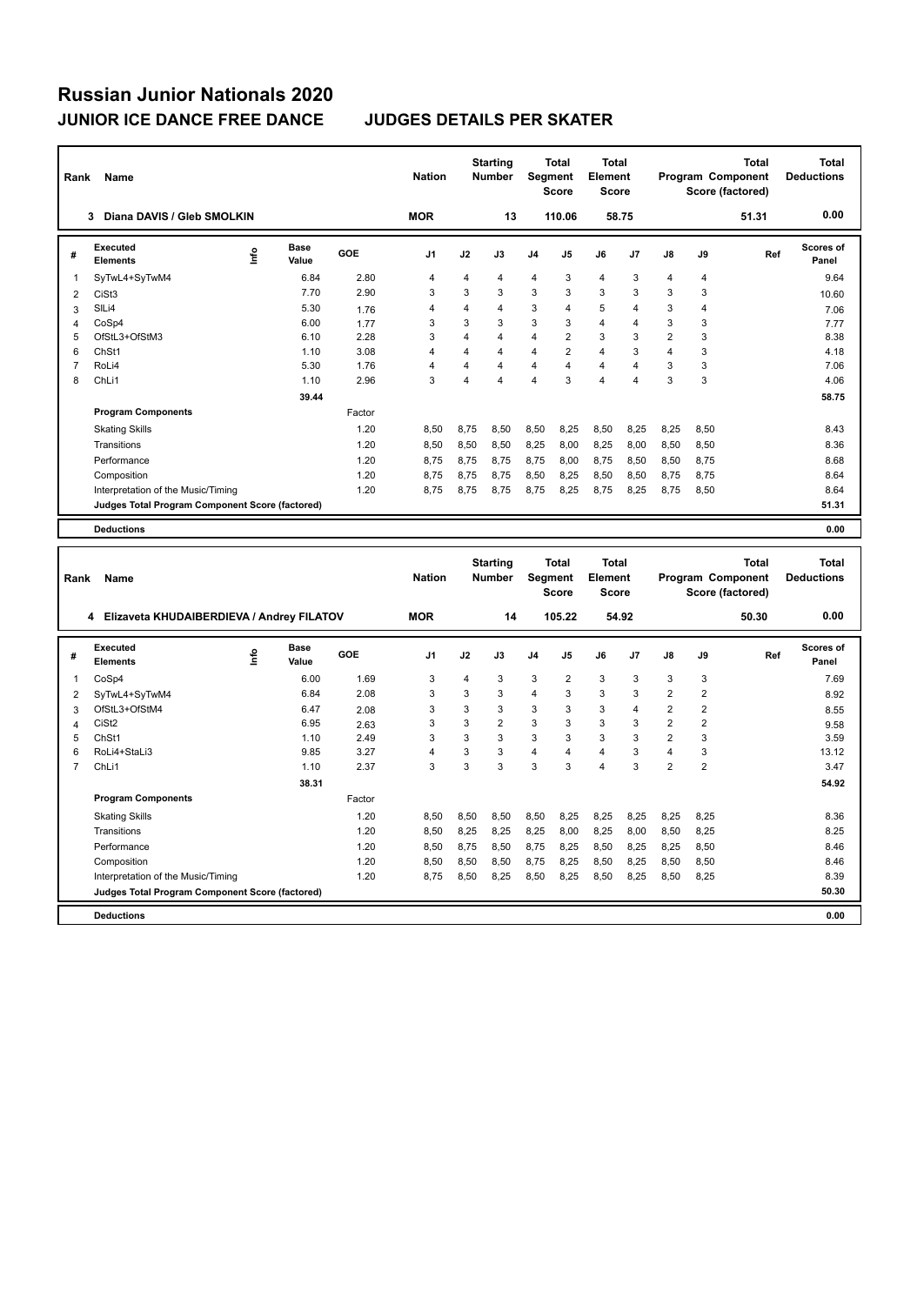| Rank           | Name                                            |    |                      |        | <b>Nation</b>  |                         | <b>Starting</b><br><b>Number</b> | <b>Segment</b>          | <b>Total</b><br>Score | <b>Total</b><br><b>Element</b><br><b>Score</b> |                |                         |                         | <b>Total</b><br>Program Component<br>Score (factored) | <b>Total</b><br><b>Deductions</b> |
|----------------|-------------------------------------------------|----|----------------------|--------|----------------|-------------------------|----------------------------------|-------------------------|-----------------------|------------------------------------------------|----------------|-------------------------|-------------------------|-------------------------------------------------------|-----------------------------------|
|                | Diana DAVIS / Gleb SMOLKIN<br>3                 |    |                      |        | <b>MOR</b>     |                         | 13                               |                         | 110.06                | 58.75                                          |                |                         |                         | 51.31                                                 | 0.00                              |
| #              | <b>Executed</b><br><b>Elements</b>              | ١m | Base<br>Value        | GOE    | J1             | J2                      | J3                               | J4                      | J5                    | J6                                             | J7             | J8                      | J9                      | Ref                                                   | <b>Scores of</b><br>Panel         |
| 1              | SyTwL4+SyTwM4                                   |    | 6.84                 | 2.80   | 4              | 4                       | 4                                | $\overline{4}$          | 3                     | 4                                              | 3              | 4                       | 4                       |                                                       | 9.64                              |
| $\overline{2}$ | CiSt <sub>3</sub>                               |    | 7.70                 | 2.90   | 3              | 3                       | 3                                | 3                       | 3                     | 3                                              | 3              | 3                       | 3                       |                                                       | 10.60                             |
| 3              | SILi4                                           |    | 5.30                 | 1.76   | 4              | $\overline{4}$          | 4                                | 3                       | 4                     | 5                                              | $\overline{4}$ | 3                       | 4                       |                                                       | 7.06                              |
| $\overline{4}$ | CoSp4                                           |    | 6.00                 | 1.77   | 3              | 3                       | 3                                | 3                       | 3                     | 4                                              | $\overline{4}$ | 3                       | 3                       |                                                       | 7.77                              |
| 5              | OfStL3+OfStM3                                   |    | 6.10                 | 2.28   | 3              | $\overline{4}$          | 4                                | $\overline{\mathbf{4}}$ | 2                     | 3                                              | 3              | $\overline{2}$          | 3                       |                                                       | 8.38                              |
| 6              | ChSt1                                           |    | 1.10                 | 3.08   | $\overline{4}$ | $\overline{4}$          | 4                                | $\overline{4}$          | $\overline{2}$        | 4                                              | 3              | 4                       | 3                       |                                                       | 4.18                              |
| $\overline{7}$ | RoLi4                                           |    | 5.30                 | 1.76   | 4              | $\overline{\mathbf{4}}$ | 4                                | $\overline{\mathbf{4}}$ | 4                     | 4                                              | $\overline{4}$ | 3                       | 3                       |                                                       | 7.06                              |
| 8              | ChLi1                                           |    | 1.10                 | 2.96   | 3              | $\overline{4}$          | 4                                | $\overline{4}$          | 3                     | 4                                              | $\overline{4}$ | 3                       | 3                       |                                                       | 4.06                              |
|                |                                                 |    | 39.44                |        |                |                         |                                  |                         |                       |                                                |                |                         |                         |                                                       | 58.75                             |
|                | <b>Program Components</b>                       |    |                      | Factor |                |                         |                                  |                         |                       |                                                |                |                         |                         |                                                       |                                   |
|                | <b>Skating Skills</b>                           |    |                      | 1.20   | 8,50           | 8,75                    | 8,50                             | 8,50                    | 8,25                  | 8,50                                           | 8,25           | 8,25                    | 8,50                    |                                                       | 8.43                              |
|                | Transitions                                     |    |                      | 1.20   | 8,50           | 8,50                    | 8,50                             | 8,25                    | 8,00                  | 8,25                                           | 8,00           | 8,50                    | 8,50                    |                                                       | 8.36                              |
|                | Performance                                     |    |                      | 1.20   | 8,75           | 8,75                    | 8,75                             | 8,75                    | 8,00                  | 8,75                                           | 8,50           | 8,50                    | 8,75                    |                                                       | 8.68                              |
|                | Composition                                     |    |                      | 1.20   | 8,75           | 8,75                    | 8,75                             | 8,50                    | 8,25                  | 8,50                                           | 8,50           | 8,75                    | 8,75                    |                                                       | 8.64                              |
|                | Interpretation of the Music/Timing              |    |                      | 1.20   | 8,75           | 8,75                    | 8,75                             | 8,75                    | 8,25                  | 8,75                                           | 8,25           | 8,75                    | 8,50                    |                                                       | 8.64                              |
|                | Judges Total Program Component Score (factored) |    |                      |        |                |                         |                                  |                         |                       |                                                |                |                         |                         |                                                       | 51.31                             |
|                | <b>Deductions</b>                               |    |                      |        |                |                         |                                  |                         |                       |                                                |                |                         |                         |                                                       | 0.00                              |
|                |                                                 |    |                      |        |                |                         |                                  |                         |                       |                                                |                |                         |                         |                                                       |                                   |
|                |                                                 |    |                      |        |                |                         |                                  |                         |                       |                                                |                |                         |                         |                                                       |                                   |
|                |                                                 |    |                      |        |                |                         | <b>Starting</b>                  |                         | <b>Total</b>          | <b>Total</b>                                   |                |                         |                         | <b>Total</b>                                          | <b>Total</b>                      |
| Rank           | Name                                            |    |                      |        | <b>Nation</b>  |                         | <b>Number</b>                    | Segment                 |                       | Element                                        |                |                         |                         | Program Component                                     | <b>Deductions</b>                 |
|                |                                                 |    |                      |        |                |                         |                                  |                         | Score                 | <b>Score</b>                                   |                |                         |                         | Score (factored)                                      |                                   |
|                |                                                 |    |                      |        |                |                         |                                  |                         |                       |                                                |                |                         |                         |                                                       |                                   |
|                | 4 Elizaveta KHUDAIBERDIEVA / Andrey FILATOV     |    |                      |        | <b>MOR</b>     |                         | 14                               |                         | 105.22                |                                                | 54.92          |                         |                         | 50.30                                                 | 0.00                              |
| #              | Executed<br><b>Elements</b>                     | ۴  | <b>Base</b><br>Value | GOE    | J1             | J2                      | J3                               | J4                      | J5                    | J6                                             | J7             | J8                      | J9                      | Ref                                                   | <b>Scores of</b><br>Panel         |
| $\mathbf{1}$   | CoSp4                                           |    | 6.00                 | 1.69   | 3              | 4                       | 3                                | 3                       | $\overline{2}$        | 3                                              | 3              | 3                       | 3                       |                                                       | 7.69                              |
| 2              |                                                 |    | 6.84                 | 2.08   | 3              | 3                       | 3                                | $\overline{4}$          | 3                     | 3                                              | 3              | 2                       | 2                       |                                                       | 8.92                              |
| 3              | SyTwL4+SyTwM4<br>OfStL3+OfStM4                  |    | 6.47                 | 2.08   | 3              | 3                       | 3                                | 3                       | 3                     | 3                                              | $\overline{4}$ | $\overline{\mathbf{c}}$ | $\overline{\mathbf{c}}$ |                                                       | 8.55                              |
| 4              | CiSt <sub>2</sub>                               |    | 6.95                 | 2.63   | 3              | 3                       | $\overline{\mathbf{c}}$          | 3                       | 3                     | 3                                              | 3              | $\overline{2}$          | $\overline{\mathbf{c}}$ |                                                       | 9.58                              |
| 5              | ChSt1                                           |    | 1.10                 | 2.49   | 3              | 3                       | 3                                | 3                       | 3                     | 3                                              | 3              | $\overline{2}$          | 3                       |                                                       | 3.59                              |
| 6              | RoLi4+StaLi3                                    |    | 9.85                 | 3.27   | 4              | 3                       | 3                                | $\overline{\mathbf{4}}$ | 4                     | 4                                              | 3              | 4                       | 3                       |                                                       | 13.12                             |
| $\overline{7}$ | ChLi1                                           |    | 1.10                 | 2.37   | 3              | 3                       | 3                                | 3                       | 3                     | $\overline{4}$                                 | 3              | $\overline{2}$          | $\overline{\mathbf{c}}$ |                                                       | 3.47                              |
|                |                                                 |    | 38.31                |        |                |                         |                                  |                         |                       |                                                |                |                         |                         |                                                       | 54.92                             |
|                | <b>Program Components</b>                       |    |                      | Factor |                |                         |                                  |                         |                       |                                                |                |                         |                         |                                                       |                                   |
|                | <b>Skating Skills</b>                           |    |                      | 1.20   | 8,50           | 8,50                    | 8,50                             | 8,50                    | 8,25                  | 8,25                                           | 8,25           | 8,25                    | 8,25                    |                                                       | 8.36                              |
|                | Transitions                                     |    |                      | 1.20   | 8,50           | 8,25                    | 8,25                             | 8,25                    | 8,00                  | 8,25                                           | 8,00           | 8,50                    | 8,25                    |                                                       | 8.25                              |
|                | Performance                                     |    |                      | 1.20   | 8,50           | 8,75                    | 8,50                             | 8,75                    | 8,25                  | 8,50                                           | 8,25           | 8,25                    | 8,50                    |                                                       | 8.46                              |
|                | Composition                                     |    |                      | 1.20   | 8,50           | 8,50                    | 8,50                             | 8,75                    | 8,25                  | 8,50                                           | 8,25           | 8,50                    | 8,50                    |                                                       | 8.46                              |
|                | Interpretation of the Music/Timing              |    |                      | 1.20   | 8,75           | 8,50                    | 8,25                             | 8,50                    | 8,25                  | 8,50                                           | 8,25           | 8,50                    | 8,25                    |                                                       | 8.39                              |
|                | Judges Total Program Component Score (factored) |    |                      |        |                |                         |                                  |                         |                       |                                                |                |                         |                         |                                                       | 50.30                             |
|                | <b>Deductions</b>                               |    |                      |        |                |                         |                                  |                         |                       |                                                |                |                         |                         |                                                       | 0.00                              |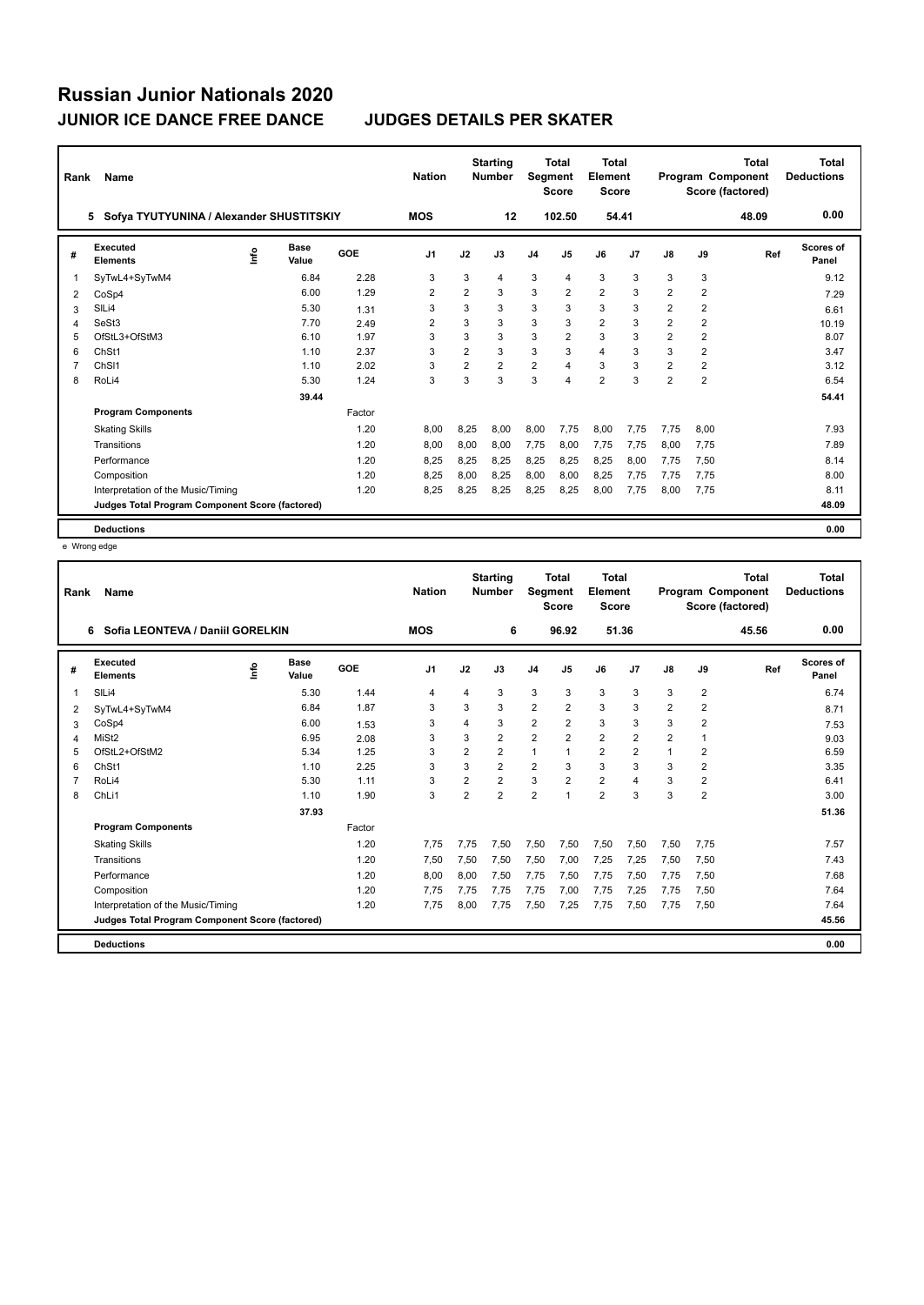| Rank | Name                                            |      |                      |        | <b>Nation</b>  |                | <b>Starting</b><br><b>Number</b> | Segment        | <b>Total</b><br><b>Score</b> | <b>Total</b><br>Element<br><b>Score</b> |                |                         |                | Total<br>Program Component<br>Score (factored) | <b>Total</b><br><b>Deductions</b> |
|------|-------------------------------------------------|------|----------------------|--------|----------------|----------------|----------------------------------|----------------|------------------------------|-----------------------------------------|----------------|-------------------------|----------------|------------------------------------------------|-----------------------------------|
|      | Sofya TYUTYUNINA / Alexander SHUSTITSKIY<br>5.  |      |                      |        | <b>MOS</b>     |                | 12                               |                | 102.50                       | 54.41                                   |                |                         |                | 48.09                                          | 0.00                              |
| #    | <b>Executed</b><br><b>Elements</b>              | lnfo | <b>Base</b><br>Value | GOE    | J <sub>1</sub> | J2             | J3                               | J <sub>4</sub> | J <sub>5</sub>               | J6                                      | J <sub>7</sub> | $\mathsf{J}8$           | J9             | Ref                                            | <b>Scores of</b><br>Panel         |
|      | SyTwL4+SyTwM4                                   |      | 6.84                 | 2.28   | 3              | 3              | 4                                | 3              | 4                            | 3                                       | 3              | 3                       | 3              |                                                | 9.12                              |
| 2    | CoSp4                                           |      | 6.00                 | 1.29   | 2              | $\overline{2}$ | 3                                | 3              | 2                            | $\overline{\mathbf{c}}$                 | 3              | 2                       | 2              |                                                | 7.29                              |
| 3    | SILi4                                           |      | 5.30                 | 1.31   | 3              | 3              | 3                                | 3              | 3                            | 3                                       | 3              | $\overline{2}$          | $\overline{2}$ |                                                | 6.61                              |
| 4    | SeSt3                                           |      | 7.70                 | 2.49   | $\overline{2}$ | 3              | 3                                | 3              | 3                            | $\overline{\mathbf{c}}$                 | 3              | $\overline{\mathbf{c}}$ | 2              |                                                | 10.19                             |
| 5    | OfStL3+OfStM3                                   |      | 6.10                 | 1.97   | 3              | 3              | 3                                | 3              | $\overline{2}$               | 3                                       | 3              | 2                       | 2              |                                                | 8.07                              |
| 6    | ChSt1                                           |      | 1.10                 | 2.37   | 3              | $\overline{2}$ | 3                                | 3              | 3                            | 4                                       | 3              | 3                       | 2              |                                                | 3.47                              |
|      | ChS <sub>11</sub>                               |      | 1.10                 | 2.02   | 3              | $\overline{2}$ | $\overline{2}$                   | $\overline{2}$ | $\overline{\mathbf{A}}$      | 3                                       | 3              | 2                       | $\overline{2}$ |                                                | 3.12                              |
| 8    | RoLi4                                           |      | 5.30                 | 1.24   | 3              | 3              | 3                                | 3              | $\overline{4}$               | $\overline{2}$                          | 3              | $\overline{2}$          | $\overline{2}$ |                                                | 6.54                              |
|      |                                                 |      | 39.44                |        |                |                |                                  |                |                              |                                         |                |                         |                |                                                | 54.41                             |
|      | <b>Program Components</b>                       |      |                      | Factor |                |                |                                  |                |                              |                                         |                |                         |                |                                                |                                   |
|      | <b>Skating Skills</b>                           |      |                      | 1.20   | 8.00           | 8,25           | 8.00                             | 8,00           | 7.75                         | 8.00                                    | 7.75           | 7.75                    | 8.00           |                                                | 7.93                              |
|      | Transitions                                     |      |                      | 1.20   | 8.00           | 8,00           | 8.00                             | 7.75           | 8,00                         | 7,75                                    | 7.75           | 8,00                    | 7,75           |                                                | 7.89                              |
|      | Performance                                     |      |                      | 1.20   | 8,25           | 8,25           | 8,25                             | 8,25           | 8,25                         | 8,25                                    | 8,00           | 7,75                    | 7,50           |                                                | 8.14                              |
|      | Composition                                     |      |                      | 1.20   | 8,25           | 8,00           | 8,25                             | 8,00           | 8,00                         | 8,25                                    | 7,75           | 7,75                    | 7,75           |                                                | 8.00                              |
|      | Interpretation of the Music/Timing              |      |                      | 1.20   | 8,25           | 8,25           | 8.25                             | 8,25           | 8,25                         | 8,00                                    | 7,75           | 8,00                    | 7,75           |                                                | 8.11                              |
|      | Judges Total Program Component Score (factored) |      |                      |        |                |                |                                  |                |                              |                                         |                |                         |                |                                                | 48.09                             |
|      | <b>Deductions</b>                               |      |                      |        |                |                |                                  |                |                              |                                         |                |                         |                |                                                | 0.00                              |

e Wrong edge

| Rank | Name                                            |      |                      |        | <b>Nation</b>  |                | <b>Starting</b><br><b>Number</b> | <b>Segment</b> | Total<br><b>Score</b> | <b>Total</b><br>Element<br><b>Score</b> |                |                |                      | <b>Total</b><br>Program Component<br>Score (factored) | <b>Total</b><br><b>Deductions</b> |
|------|-------------------------------------------------|------|----------------------|--------|----------------|----------------|----------------------------------|----------------|-----------------------|-----------------------------------------|----------------|----------------|----------------------|-------------------------------------------------------|-----------------------------------|
|      | Sofia LEONTEVA / Daniil GORELKIN<br>6           |      |                      |        | <b>MOS</b>     |                | 6                                |                | 96.92                 |                                         | 51.36          |                |                      | 45.56                                                 | 0.00                              |
| #    | <b>Executed</b><br><b>Elements</b>              | ١nf٥ | <b>Base</b><br>Value | GOE    | J <sub>1</sub> | J2             | J3                               | J <sub>4</sub> | J5                    | J6                                      | J <sub>7</sub> | J8             | J9                   | Ref                                                   | Scores of<br>Panel                |
| 1    | SILi4                                           |      | 5.30                 | 1.44   | $\overline{4}$ | 4              | 3                                | 3              | 3                     | 3                                       | 3              | 3              | $\overline{2}$       |                                                       | 6.74                              |
| 2    | SyTwL4+SyTwM4                                   |      | 6.84                 | 1.87   | 3              | 3              | 3                                | $\overline{2}$ | $\overline{2}$        | 3                                       | 3              | $\overline{2}$ | $\overline{2}$       |                                                       | 8.71                              |
| 3    | CoSp4                                           |      | 6.00                 | 1.53   | 3              | 4              | 3                                | $\overline{2}$ | $\overline{2}$        | 3                                       | 3              | 3              | $\overline{2}$       |                                                       | 7.53                              |
| Δ    | MiSt <sub>2</sub>                               |      | 6.95                 | 2.08   | 3              | 3              | $\overline{2}$                   | $\overline{2}$ | $\overline{2}$        | $\overline{2}$                          | $\overline{2}$ | $\overline{2}$ | $\blacktriangleleft$ |                                                       | 9.03                              |
| 5    | OfStL2+OfStM2                                   |      | 5.34                 | 1.25   | 3              | $\overline{2}$ | $\overline{2}$                   | $\mathbf{1}$   |                       | $\overline{2}$                          | $\overline{2}$ | 1              | $\overline{2}$       |                                                       | 6.59                              |
| 6    | Ch <sub>St1</sub>                               |      | 1.10                 | 2.25   | 3              | 3              | $\overline{2}$                   | $\overline{2}$ | 3                     | 3                                       | 3              | 3              | $\overline{2}$       |                                                       | 3.35                              |
|      | RoLi4                                           |      | 5.30                 | 1.11   | 3              | $\overline{2}$ | $\overline{2}$                   | 3              | $\overline{2}$        | $\overline{2}$                          | 4              | 3              | $\overline{2}$       |                                                       | 6.41                              |
| 8    | ChL <sub>i1</sub>                               |      | 1.10                 | 1.90   | 3              | $\overline{2}$ | $\overline{2}$                   | $\overline{2}$ |                       | $\overline{2}$                          | 3              | 3              | $\overline{2}$       |                                                       | 3.00                              |
|      |                                                 |      | 37.93                |        |                |                |                                  |                |                       |                                         |                |                |                      |                                                       | 51.36                             |
|      | <b>Program Components</b>                       |      |                      | Factor |                |                |                                  |                |                       |                                         |                |                |                      |                                                       |                                   |
|      | <b>Skating Skills</b>                           |      |                      | 1.20   | 7,75           | 7,75           | 7,50                             | 7,50           | 7,50                  | 7,50                                    | 7,50           | 7,50           | 7,75                 |                                                       | 7.57                              |
|      | Transitions                                     |      |                      | 1.20   | 7.50           | 7,50           | 7.50                             | 7,50           | 7.00                  | 7.25                                    | 7.25           | 7,50           | 7,50                 |                                                       | 7.43                              |
|      | Performance                                     |      |                      | 1.20   | 8,00           | 8,00           | 7,50                             | 7,75           | 7,50                  | 7,75                                    | 7,50           | 7.75           | 7,50                 |                                                       | 7.68                              |
|      | Composition                                     |      |                      | 1.20   | 7,75           | 7,75           | 7.75                             | 7,75           | 7,00                  | 7,75                                    | 7,25           | 7.75           | 7,50                 |                                                       | 7.64                              |
|      | Interpretation of the Music/Timing              |      |                      | 1.20   | 7,75           | 8,00           | 7,75                             | 7,50           | 7,25                  | 7,75                                    | 7,50           | 7,75           | 7,50                 |                                                       | 7.64                              |
|      | Judges Total Program Component Score (factored) |      |                      |        |                |                |                                  |                |                       |                                         |                |                |                      |                                                       | 45.56                             |
|      | <b>Deductions</b>                               |      |                      |        |                |                |                                  |                |                       |                                         |                |                |                      |                                                       | 0.00                              |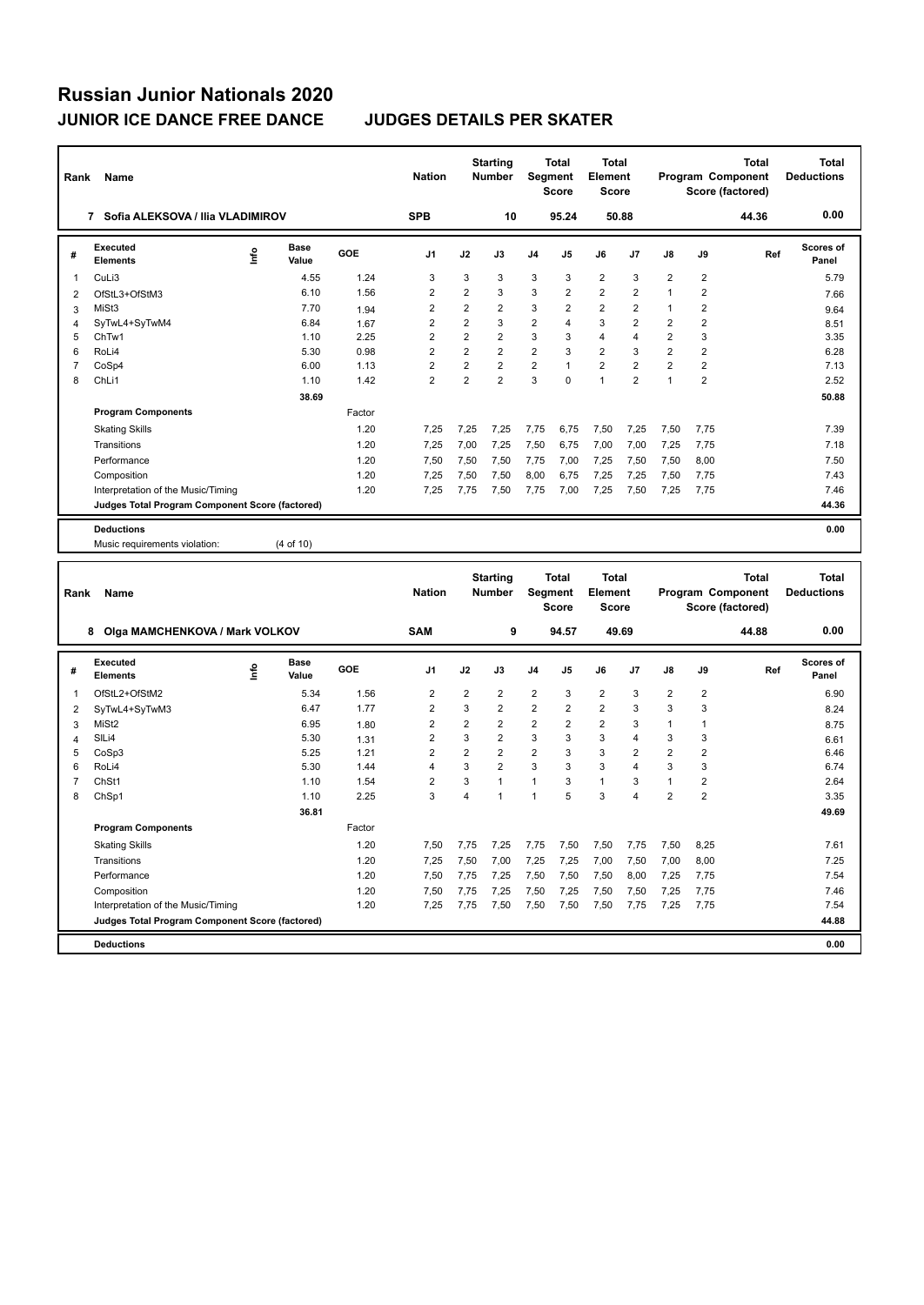| Rank                    | Name                                                                                  |      |               |            | <b>Nation</b>    |                | <b>Starting</b><br><b>Number</b> |                  | <b>Total</b><br>Segment<br><b>Score</b> | <b>Total</b><br>Element<br><b>Score</b> |                |                         |                         | Total<br>Program Component<br>Score (factored) | <b>Total</b><br><b>Deductions</b> |
|-------------------------|---------------------------------------------------------------------------------------|------|---------------|------------|------------------|----------------|----------------------------------|------------------|-----------------------------------------|-----------------------------------------|----------------|-------------------------|-------------------------|------------------------------------------------|-----------------------------------|
|                         | 7 Sofia ALEKSOVA / Ilia VLADIMIROV                                                    |      |               |            | <b>SPB</b>       |                | 10                               |                  | 95.24                                   |                                         | 50.88          |                         |                         | 44.36                                          | 0.00                              |
| #                       | <b>Executed</b><br><b>Elements</b>                                                    | ١nf٥ | Base<br>Value | GOE        | J1               | J2             | J3                               | J4               | J5                                      | J6                                      | J7             | J8                      | J9                      | Ref                                            | <b>Scores of</b><br>Panel         |
| $\mathbf{1}$            | CuLi3                                                                                 |      | 4.55          | 1.24       | 3                | 3              | 3                                | 3                | 3                                       | 2                                       | 3              | $\overline{2}$          | $\overline{\mathbf{c}}$ |                                                | 5.79                              |
| $\overline{\mathbf{c}}$ | OfStL3+OfStM3                                                                         |      | 6.10          | 1.56       | $\overline{2}$   | $\overline{2}$ | 3                                | 3                | $\overline{2}$                          | $\overline{2}$                          | $\overline{2}$ | $\overline{1}$          | $\overline{2}$          |                                                | 7.66                              |
| 3                       | MiSt3                                                                                 |      | 7.70          | 1.94       | $\overline{2}$   | $\overline{2}$ | $\overline{2}$                   | 3                | $\overline{2}$                          | $\overline{2}$                          | $\overline{2}$ | 1                       | $\overline{2}$          |                                                | 9.64                              |
| $\overline{4}$          | SyTwL4+SyTwM4                                                                         |      | 6.84          | 1.67       | $\overline{2}$   | $\overline{2}$ | 3                                | $\overline{2}$   | 4                                       | 3                                       | $\overline{2}$ | $\overline{2}$          | $\overline{2}$          |                                                | 8.51                              |
| 5                       | ChTw1                                                                                 |      | 1.10          | 2.25       | $\overline{2}$   | $\overline{2}$ | $\overline{2}$                   | 3                | 3                                       | $\overline{4}$                          | $\overline{4}$ | $\overline{2}$          | 3                       |                                                | 3.35                              |
| 6                       | RoLi4                                                                                 |      | 5.30          | 0.98       | $\overline{2}$   | $\overline{2}$ | $\overline{\mathbf{c}}$          | $\overline{2}$   | 3                                       | $\overline{\mathbf{c}}$                 | 3              | $\overline{2}$          | $\overline{2}$          |                                                | 6.28                              |
| $\overline{7}$          | CoSp4                                                                                 |      | 6.00          | 1.13       | $\overline{2}$   | $\overline{2}$ | $\overline{\mathbf{c}}$          | $\overline{2}$   | 1                                       | $\overline{\mathbf{c}}$                 | $\overline{2}$ | $\overline{2}$          | $\overline{2}$          |                                                | 7.13                              |
| 8                       | ChL <sub>i1</sub>                                                                     |      | 1.10          | 1.42       | $\overline{2}$   | $\overline{2}$ | $\overline{2}$                   | 3                | $\Omega$                                | $\mathbf{1}$                            | $\overline{2}$ | $\mathbf{1}$            | $\overline{2}$          |                                                | 2.52                              |
|                         |                                                                                       |      | 38.69         |            |                  |                |                                  |                  |                                         |                                         |                |                         |                         |                                                | 50.88                             |
|                         | <b>Program Components</b>                                                             |      |               | Factor     |                  |                |                                  |                  |                                         |                                         |                |                         |                         |                                                |                                   |
|                         | <b>Skating Skills</b>                                                                 |      |               | 1.20       | 7,25             | 7,25           | 7,25                             | 7,75             | 6,75                                    | 7,50                                    | 7,25           | 7,50                    | 7,75                    |                                                | 7.39                              |
|                         | Transitions                                                                           |      |               | 1.20       | 7,25             | 7,00           | 7,25                             | 7,50             | 6,75                                    | 7,00                                    | 7,00           | 7,25                    | 7,75                    |                                                | 7.18                              |
|                         | Performance                                                                           |      |               | 1.20       | 7,50             | 7,50           | 7,50                             | 7,75             | 7,00                                    | 7,25                                    | 7,50           | 7,50                    | 8,00                    |                                                | 7.50                              |
|                         | Composition                                                                           |      |               | 1.20       | 7,25             | 7,50           | 7,50                             | 8,00             | 6,75                                    | 7,25                                    | 7,25           | 7,50                    | 7,75                    |                                                | 7.43                              |
|                         | Interpretation of the Music/Timing                                                    |      |               | 1.20       | 7,25             | 7,75           | 7,50                             | 7,75             | 7,00                                    | 7,25                                    | 7,50           | 7,25                    | 7,75                    |                                                | 7.46                              |
|                         | Judges Total Program Component Score (factored)                                       |      |               |            |                  |                |                                  |                  |                                         |                                         |                |                         |                         |                                                | 44.36                             |
|                         | <b>Deductions</b>                                                                     |      |               |            |                  |                |                                  |                  |                                         |                                         |                |                         |                         |                                                | 0.00                              |
|                         |                                                                                       |      |               |            |                  |                |                                  |                  |                                         |                                         |                |                         |                         |                                                |                                   |
|                         | Music requirements violation:                                                         |      | (4 of 10)     |            |                  |                |                                  |                  |                                         |                                         |                |                         |                         |                                                |                                   |
|                         |                                                                                       |      |               |            |                  |                |                                  |                  |                                         |                                         |                |                         |                         |                                                |                                   |
|                         |                                                                                       |      |               |            |                  |                | <b>Starting</b>                  |                  | Total                                   | Total                                   |                |                         |                         | <b>Total</b>                                   | <b>Total</b>                      |
| Rank                    | Name                                                                                  |      |               |            | <b>Nation</b>    |                | <b>Number</b>                    |                  | Segment                                 | Element                                 |                |                         |                         | Program Component                              | <b>Deductions</b>                 |
|                         |                                                                                       |      |               |            |                  |                |                                  |                  | <b>Score</b>                            | <b>Score</b>                            |                |                         |                         | Score (factored)                               |                                   |
|                         | 8 Olga MAMCHENKOVA / Mark VOLKOV                                                      |      |               |            | <b>SAM</b>       |                | 9                                |                  | 94.57                                   |                                         | 49.69          |                         |                         | 44.88                                          | 0.00                              |
|                         | Executed                                                                              |      | <b>Base</b>   |            |                  |                |                                  |                  |                                         |                                         |                |                         |                         |                                                | <b>Scores of</b>                  |
| #                       | <b>Elements</b>                                                                       | ١nf٥ | Value         | <b>GOE</b> | J1               | J2             | J3                               | J4               | J5                                      | J6                                      | J7             | J8                      | J9                      | Ref                                            | Panel                             |
| 1                       | OfStL2+OfStM2                                                                         |      | 5.34          | 1.56       | $\boldsymbol{2}$ | $\overline{2}$ | $\overline{\mathbf{c}}$          | $\boldsymbol{2}$ | 3                                       | $\overline{\mathbf{c}}$                 | 3              | $\overline{\mathbf{c}}$ | $\overline{\mathbf{c}}$ |                                                | 6.90                              |
| $\overline{2}$          | SyTwL4+SyTwM3                                                                         |      | 6.47          | 1.77       | $\overline{2}$   | 3              | $\overline{2}$                   | $\overline{2}$   | $\overline{2}$                          | $\overline{2}$                          | 3              | 3                       | 3                       |                                                | 8.24                              |
| 3                       | MiSt <sub>2</sub>                                                                     |      | 6.95          | 1.80       | $\overline{2}$   | $\overline{2}$ | $\overline{2}$                   | $\overline{2}$   | $\overline{2}$                          | $\overline{2}$                          | 3              | $\mathbf{1}$            | $\mathbf{1}$            |                                                | 8.75                              |
| 4                       | SILi4                                                                                 |      | 5.30          | 1.31       | $\overline{2}$   | 3              | $\overline{\mathbf{c}}$          | 3                | 3                                       | 3                                       | $\overline{4}$ | 3                       | 3                       |                                                | 6.61                              |
| 5                       | CoSp3                                                                                 |      | 5.25          | 1.21       | $\overline{2}$   | $\overline{2}$ | $\overline{2}$                   | $\overline{2}$   | 3                                       | 3                                       | $\overline{2}$ | $\overline{2}$          | $\overline{c}$          |                                                | 6.46                              |
| 6                       | RoLi4                                                                                 |      | 5.30          | 1.44       | $\overline{4}$   | 3              | $\overline{\mathbf{c}}$          | 3                | 3                                       | 3                                       | $\overline{4}$ | 3                       | 3                       |                                                | 6.74                              |
| $\overline{7}$          | ChSt1                                                                                 |      | 1.10          | 1.54       | $\overline{2}$   | 3              | 1                                | 1                | 3                                       | 1                                       | 3              | $\mathbf{1}$            | $\overline{c}$          |                                                | 2.64                              |
| 8                       | ChSp1                                                                                 |      | 1.10          | 2.25       | 3                | $\overline{4}$ | $\mathbf{1}$                     | $\mathbf{1}$     | 5                                       | 3                                       | $\overline{4}$ | $\overline{2}$          | $\overline{2}$          |                                                | 3.35                              |
|                         |                                                                                       |      | 36.81         |            |                  |                |                                  |                  |                                         |                                         |                |                         |                         |                                                | 49.69                             |
|                         | <b>Program Components</b>                                                             |      |               | Factor     |                  |                |                                  |                  |                                         |                                         |                |                         |                         |                                                |                                   |
|                         | <b>Skating Skills</b>                                                                 |      |               | 1.20       | 7,50             | 7,75           | 7,25                             | 7,75             | 7,50                                    | 7,50                                    | 7,75           | 7,50                    | 8,25                    |                                                | 7.61                              |
|                         | Transitions                                                                           |      |               | 1.20       | 7,25             | 7,50           | 7,00                             | 7,25             | 7,25                                    | 7,00                                    | 7,50           | 7,00                    | 8,00                    |                                                | 7.25                              |
|                         | Performance                                                                           |      |               | 1.20       | 7,50             | 7,75           | 7,25                             | 7,50             | 7,50                                    | 7,50                                    | 8,00           | 7,25                    | 7,75                    |                                                | 7.54                              |
|                         | Composition                                                                           |      |               | 1.20       | 7,50             | 7,75           | 7,25                             | 7,50             | 7,25                                    | 7,50                                    | 7,50           | 7,25                    | 7,75                    |                                                | 7.46                              |
|                         | Interpretation of the Music/Timing<br>Judges Total Program Component Score (factored) |      |               | 1.20       | 7,25             | 7,75           | 7,50                             | 7,50             | 7,50                                    | 7,50                                    | 7,75           | 7,25                    | 7,75                    |                                                | 7.54<br>44.88                     |

**Deductions 0.00**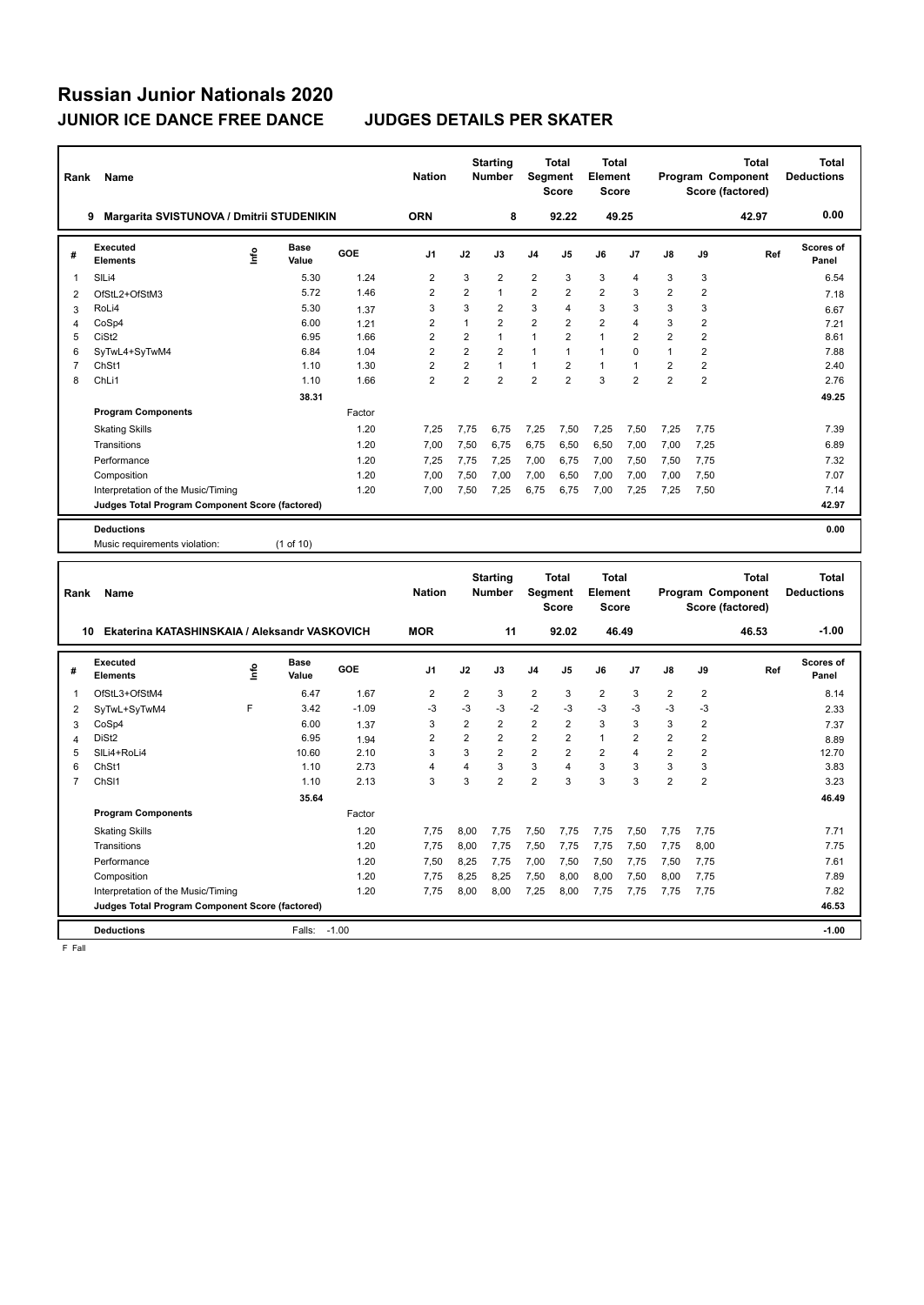| Rank           | Name                                                |      |                      |            | <b>Nation</b>           |                | <b>Starting</b><br>Number |                | <b>Total</b><br>Segment<br><b>Score</b> | <b>Total</b><br>Element<br><b>Score</b> |                         |                |                         | <b>Total</b><br>Program Component<br>Score (factored) | <b>Total</b><br><b>Deductions</b> |
|----------------|-----------------------------------------------------|------|----------------------|------------|-------------------------|----------------|---------------------------|----------------|-----------------------------------------|-----------------------------------------|-------------------------|----------------|-------------------------|-------------------------------------------------------|-----------------------------------|
|                | 9 Margarita SVISTUNOVA / Dmitrii STUDENIKIN         |      |                      |            | <b>ORN</b>              |                | 8                         |                | 92.22                                   |                                         | 49.25                   |                |                         | 42.97                                                 | 0.00                              |
| #              | <b>Executed</b><br><b>Elements</b>                  | ۴    | <b>Base</b><br>Value | GOE        | J1                      | J2             | J3                        | J4             | J5                                      | J6                                      | J7                      | J8             | J9                      | Ref                                                   | <b>Scores of</b><br>Panel         |
| 1              | SILi4                                               |      | 5.30                 | 1.24       | $\overline{2}$          | 3              | $\overline{2}$            | $\overline{2}$ | 3                                       | 3                                       | $\overline{4}$          | 3              | 3                       |                                                       | 6.54                              |
| $\overline{2}$ | OfStL2+OfStM3                                       |      | 5.72                 | 1.46       | $\overline{2}$          | $\overline{2}$ | 1                         | $\overline{2}$ | $\overline{2}$                          | $\overline{2}$                          | 3                       | $\overline{2}$ | $\overline{\mathbf{c}}$ |                                                       | 7.18                              |
| 3              | RoLi4                                               |      | 5.30                 | 1.37       | 3                       | 3              | $\overline{2}$            | 3              | 4                                       | 3                                       | 3                       | 3              | 3                       |                                                       | 6.67                              |
| 4              | CoSp4                                               |      | 6.00                 | 1.21       | $\overline{2}$          | $\mathbf{1}$   | $\overline{2}$            | $\overline{2}$ | $\overline{2}$                          | $\overline{2}$                          | $\overline{\mathbf{4}}$ | 3              | $\overline{\mathbf{c}}$ |                                                       | 7.21                              |
| 5              | CiSt <sub>2</sub>                                   |      | 6.95                 | 1.66       | $\overline{2}$          | $\overline{2}$ | $\mathbf{1}$              | 1              | $\overline{2}$                          | $\mathbf{1}$                            | $\overline{2}$          | $\overline{2}$ | $\overline{2}$          |                                                       | 8.61                              |
| 6              | SyTwL4+SyTwM4                                       |      | 6.84                 | 1.04       | $\overline{2}$          | $\overline{2}$ | $\overline{2}$            | $\mathbf{1}$   | 1                                       | $\mathbf{1}$                            | $\mathbf 0$             | $\mathbf{1}$   | $\overline{2}$          |                                                       | 7.88                              |
| $\overline{7}$ | ChSt1                                               |      | 1.10                 | 1.30       | $\overline{\mathbf{c}}$ | $\overline{2}$ | $\mathbf{1}$              | $\mathbf{1}$   | $\overline{2}$                          | $\mathbf{1}$                            | $\mathbf{1}$            | $\overline{2}$ | $\overline{\mathbf{c}}$ |                                                       | 2.40                              |
| 8              | ChL <sub>i1</sub>                                   |      | 1.10                 | 1.66       | $\overline{2}$          | $\overline{2}$ | $\overline{2}$            | $\overline{2}$ | $\overline{2}$                          | 3                                       | $\overline{2}$          | $\overline{2}$ | $\overline{2}$          |                                                       | 2.76                              |
|                |                                                     |      | 38.31                |            |                         |                |                           |                |                                         |                                         |                         |                |                         |                                                       | 49.25                             |
|                | <b>Program Components</b>                           |      |                      | Factor     |                         |                |                           |                |                                         |                                         |                         |                |                         |                                                       |                                   |
|                | <b>Skating Skills</b>                               |      |                      | 1.20       | 7.25                    | 7,75           | 6,75                      | 7,25           | 7,50                                    | 7,25                                    | 7,50                    | 7,25           | 7,75                    |                                                       | 7.39                              |
|                | Transitions                                         |      |                      | 1.20       | 7,00                    | 7,50           | 6,75                      | 6,75           | 6,50                                    | 6,50                                    | 7,00                    | 7,00           | 7,25                    |                                                       | 6.89                              |
|                | Performance                                         |      |                      | 1.20       | 7,25                    | 7,75           | 7,25                      | 7,00           | 6,75                                    | 7,00                                    | 7,50                    | 7,50           | 7,75                    |                                                       | 7.32                              |
|                | Composition                                         |      |                      | 1.20       | 7,00                    | 7,50           | 7,00                      | 7,00           | 6,50                                    | 7,00                                    | 7,00                    | 7,00           | 7,50                    |                                                       | 7.07                              |
|                | Interpretation of the Music/Timing                  |      |                      | 1.20       | 7,00                    | 7,50           | 7,25                      | 6,75           | 6,75                                    | 7,00                                    | 7,25                    | 7,25           | 7,50                    |                                                       | 7.14                              |
|                | Judges Total Program Component Score (factored)     |      |                      |            |                         |                |                           |                |                                         |                                         |                         |                |                         |                                                       | 42.97                             |
|                | <b>Deductions</b>                                   |      |                      |            |                         |                |                           |                |                                         |                                         |                         |                |                         |                                                       | 0.00                              |
|                | Music requirements violation:                       |      | (1 of 10)            |            |                         |                |                           |                |                                         |                                         |                         |                |                         |                                                       |                                   |
|                |                                                     |      |                      |            |                         |                |                           |                |                                         |                                         |                         |                |                         |                                                       |                                   |
| Rank           | Name                                                |      |                      |            | <b>Nation</b>           |                | <b>Starting</b><br>Number |                | <b>Total</b><br>Segment<br><b>Score</b> | <b>Total</b><br>Element<br><b>Score</b> |                         |                |                         | <b>Total</b><br>Program Component<br>Score (factored) | <b>Total</b><br><b>Deductions</b> |
|                |                                                     |      |                      |            |                         |                |                           |                |                                         |                                         |                         |                |                         |                                                       |                                   |
|                | Ekaterina KATASHINSKAIA / Aleksandr VASKOVICH<br>10 |      |                      |            | <b>MOR</b>              |                | 11                        |                | 92.02                                   |                                         | 46.49                   |                |                         | 46.53                                                 | $-1.00$                           |
| #              | Executed<br>Elements                                | lnfo | <b>Base</b><br>Value | <b>GOE</b> | J <sub>1</sub>          | J2             | J3                        | J4             | J5                                      | J6                                      | J7                      | J8             | J9                      | Ref                                                   | <b>Scores of</b><br>Panel         |
| 1              | OfStL3+OfStM4                                       |      | 6.47                 | 1.67       | $\mathbf 2$             | $\overline{2}$ | 3                         | $\overline{2}$ | 3                                       | $\overline{c}$                          | 3                       | $\overline{2}$ | $\overline{2}$          |                                                       | 8.14                              |
| $\overline{2}$ | SyTwL+SyTwM4                                        | F    | 3.42                 | $-1.09$    | $-3$                    | $-3$           | -3                        | $-2$           | $-3$                                    | $-3$                                    | $-3$                    | -3             | $-3$                    |                                                       | 2.33                              |
| 3              | CoSp4                                               |      | 6.00                 | 1.37       | 3                       | $\overline{2}$ | $\overline{2}$            | $\overline{2}$ | $\overline{2}$                          | 3                                       | 3                       | 3              | $\overline{2}$          |                                                       | 7.37                              |
| $\overline{4}$ | DiSt <sub>2</sub>                                   |      | 6.95                 | 1.94       | $\boldsymbol{2}$        | $\overline{2}$ | $\overline{2}$            | 2              | $\overline{2}$                          | $\mathbf{1}$                            | $\overline{2}$          | $\overline{2}$ | $\overline{2}$          |                                                       | 8.89                              |
| 5              | SILi4+RoLi4                                         |      | 10.60                | 2.10       | 3                       | 3              | $\overline{2}$            | $\overline{2}$ | $\overline{2}$                          | $\overline{2}$                          | 4                       | $\overline{2}$ | $\overline{2}$          |                                                       | 12.70                             |
| 6              | ChSt1                                               |      | 1.10                 | 2.73       | $\overline{4}$          | $\overline{4}$ | 3                         | 3              | 4                                       | 3                                       | 3                       | 3              | 3                       |                                                       | 3.83                              |
| $\overline{7}$ | ChS <sub>11</sub>                                   |      | 1.10                 | 2.13       | 3                       | 3              | $\overline{2}$            | $\overline{2}$ | 3                                       | 3                                       | 3                       | $\overline{2}$ | $\overline{2}$          |                                                       | 3.23                              |
|                |                                                     |      | 35.64                |            |                         |                |                           |                |                                         |                                         |                         |                |                         |                                                       | 46.49                             |
|                | <b>Program Components</b>                           |      |                      | Factor     |                         |                |                           |                |                                         |                                         |                         |                |                         |                                                       |                                   |
|                | <b>Skating Skills</b>                               |      |                      | 1.20       | 7,75                    | 8,00           | 7,75                      | 7,50           | 7,75                                    | 7,75                                    | 7,50                    | 7,75           | 7,75                    |                                                       | 7.71                              |
|                | Transitions                                         |      |                      | 1.20       | 7,75                    | 8,00           | 7,75                      | 7,50           | 7,75                                    | 7,75                                    | 7,50                    | 7,75           | 8,00                    |                                                       | 7.75                              |
|                | Performance                                         |      |                      | 1.20       | 7,50                    | 8,25           | 7,75                      | 7,00           | 7,50                                    | 7,50                                    | 7,75                    | 7,50           | 7,75                    |                                                       | 7.61                              |
|                | Composition                                         |      |                      | 1.20       | 7,75                    | 8,25           | 8,25                      | 7,50           | 8,00                                    | 8,00                                    | 7,50                    | 8,00           | 7,75                    |                                                       | 7.89                              |
|                | Interpretation of the Music/Timing                  |      |                      | 1.20       | 7,75                    | 8,00           | 8,00                      | 7,25           | 8,00                                    | 7,75                                    | 7,75                    | 7,75           | 7,75                    |                                                       | 7.82                              |
|                | Judges Total Program Component Score (factored)     |      |                      |            |                         |                |                           |                |                                         |                                         |                         |                |                         |                                                       | 46.53                             |

**Deductions** Falls: -1.00 **-1.00**

F Fall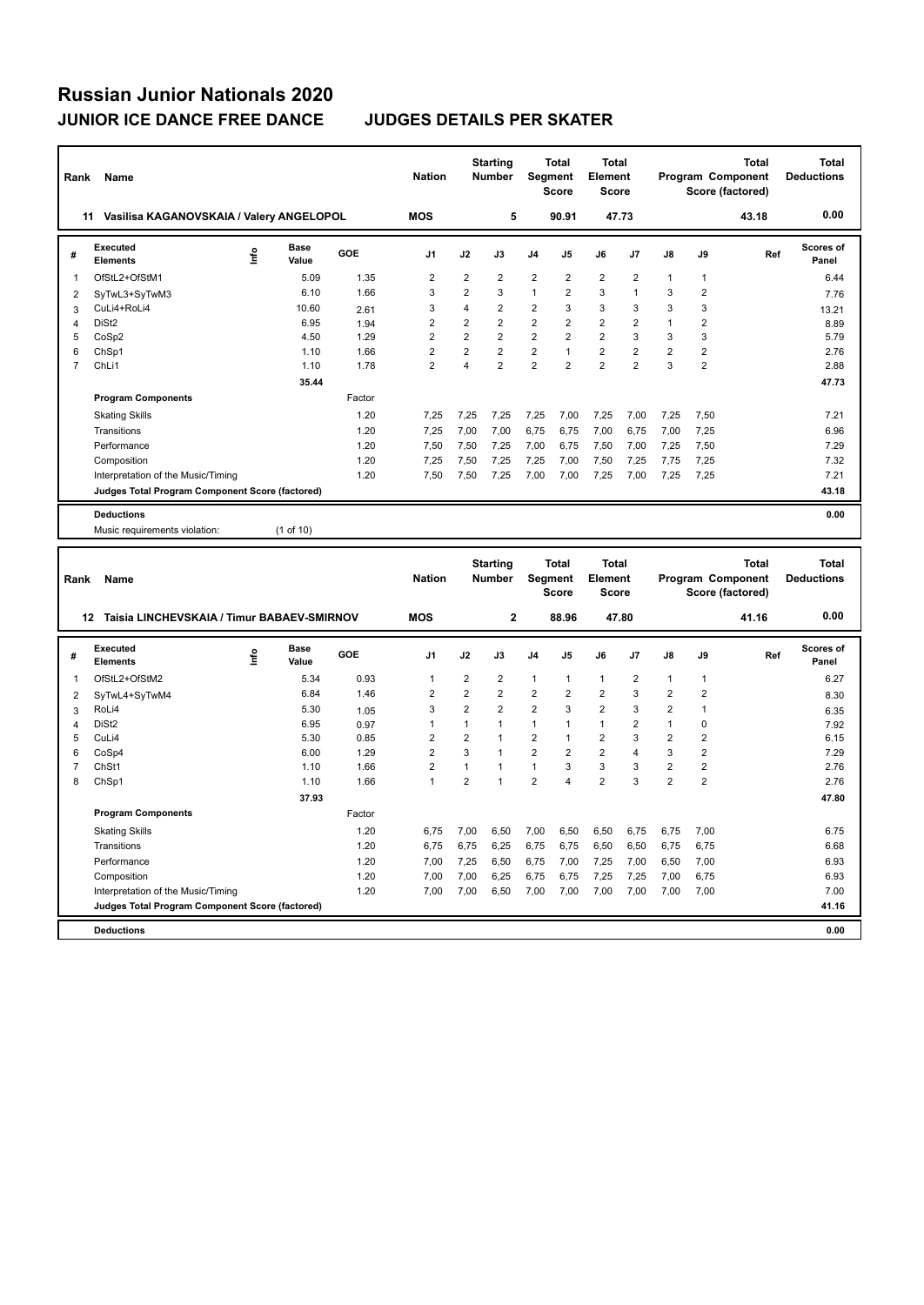| Rank           | Name                                            |      |                      |        | <b>Nation</b>           |                         | <b>Starting</b><br>Number |                         | <b>Total</b><br><b>Segment</b><br><b>Score</b> | <b>Total</b><br>Element<br><b>Score</b> |                         |                |                         | <b>Total</b><br>Program Component<br>Score (factored) | <b>Total</b><br><b>Deductions</b> |
|----------------|-------------------------------------------------|------|----------------------|--------|-------------------------|-------------------------|---------------------------|-------------------------|------------------------------------------------|-----------------------------------------|-------------------------|----------------|-------------------------|-------------------------------------------------------|-----------------------------------|
|                | 11 Vasilisa KAGANOVSKAIA / Valery ANGELOPOL     |      |                      |        | <b>MOS</b>              |                         | 5                         |                         | 90.91                                          |                                         | 47.73                   |                |                         | 43.18                                                 | 0.00                              |
| #              | Executed<br><b>Elements</b>                     | lnfo | Base<br>Value        | GOE    | J <sub>1</sub>          | J2                      | J3                        | J4                      | J5                                             | J6                                      | J7                      | J8             | J9                      | Ref                                                   | Scores of<br>Panel                |
| 1              | OfStL2+OfStM1                                   |      | 5.09                 | 1.35   | $\overline{\mathbf{c}}$ | $\overline{\mathbf{c}}$ | $\overline{\mathbf{c}}$   | $\overline{\mathbf{c}}$ | $\overline{2}$                                 | $\overline{\mathbf{c}}$                 | $\overline{\mathbf{c}}$ | 1              | $\mathbf{1}$            |                                                       | 6.44                              |
| $\overline{2}$ | SyTwL3+SyTwM3                                   |      | 6.10                 | 1.66   | 3                       | $\overline{2}$          | 3                         | 1                       | $\overline{\mathbf{c}}$                        | 3                                       | $\mathbf{1}$            | 3              | $\overline{2}$          |                                                       | 7.76                              |
| 3              | CuLi4+RoLi4                                     |      | 10.60                | 2.61   | 3                       | $\overline{4}$          | $\overline{2}$            | $\overline{2}$          | 3                                              | 3                                       | 3                       | 3              | 3                       |                                                       | 13.21                             |
| 4              | DiSt <sub>2</sub>                               |      | 6.95                 | 1.94   | $\overline{\mathbf{c}}$ | $\overline{2}$          | $\overline{2}$            | $\overline{2}$          | $\overline{2}$                                 | $\overline{2}$                          | $\overline{2}$          | $\mathbf{1}$   | $\overline{2}$          |                                                       | 8.89                              |
| 5              | CoSp2                                           |      | 4.50                 | 1.29   | $\overline{2}$          | $\overline{2}$          | $\overline{2}$            | $\overline{2}$          | $\overline{2}$                                 | $\overline{2}$                          | 3                       | 3              | 3                       |                                                       | 5.79                              |
| 6              | ChSp1                                           |      | 1.10                 | 1.66   | $\overline{2}$          | $\overline{2}$          | $\overline{2}$            | $\overline{2}$          | 1                                              | $\overline{2}$                          | $\overline{2}$          | $\overline{2}$ | $\overline{2}$          |                                                       | 2.76                              |
| $\overline{7}$ | ChL <sub>i1</sub>                               |      | 1.10                 | 1.78   | $\overline{2}$          | 4                       | $\overline{2}$            | $\overline{2}$          | $\overline{2}$                                 | $\overline{2}$                          | $\overline{2}$          | 3              | $\overline{\mathbf{c}}$ |                                                       | 2.88                              |
|                |                                                 |      | 35.44                |        |                         |                         |                           |                         |                                                |                                         |                         |                |                         |                                                       | 47.73                             |
|                | <b>Program Components</b>                       |      |                      | Factor |                         |                         |                           |                         |                                                |                                         |                         |                |                         |                                                       |                                   |
|                | <b>Skating Skills</b>                           |      |                      | 1.20   | 7,25                    | 7,25                    | 7,25                      | 7,25                    | 7,00                                           | 7,25                                    | 7,00                    | 7,25           | 7,50                    |                                                       | 7.21                              |
|                | Transitions                                     |      |                      | 1.20   | 7,25                    | 7,00                    | 7,00                      | 6,75                    | 6,75                                           | 7,00                                    | 6,75                    | 7,00           | 7,25                    |                                                       | 6.96                              |
|                | Performance                                     |      |                      | 1.20   | 7,50                    | 7,50                    | 7,25                      | 7,00                    | 6,75                                           | 7,50                                    | 7,00                    | 7,25           | 7,50                    |                                                       | 7.29                              |
|                | Composition                                     |      |                      | 1.20   | 7,25                    | 7,50                    | 7,25                      | 7,25                    | 7,00                                           | 7,50                                    | 7,25                    | 7,75           | 7,25                    |                                                       | 7.32                              |
|                | Interpretation of the Music/Timing              |      |                      | 1.20   | 7,50                    | 7,50                    | 7,25                      | 7,00                    | 7,00                                           | 7,25                                    | 7,00                    | 7,25           | 7,25                    |                                                       | 7.21                              |
|                | Judges Total Program Component Score (factored) |      |                      |        |                         |                         |                           |                         |                                                |                                         |                         |                |                         |                                                       | 43.18                             |
|                | <b>Deductions</b>                               |      |                      |        |                         |                         |                           |                         |                                                |                                         |                         |                |                         |                                                       | 0.00                              |
|                | Music requirements violation:                   |      | (1 of 10)            |        |                         |                         |                           |                         |                                                |                                         |                         |                |                         |                                                       |                                   |
|                |                                                 |      |                      |        |                         |                         |                           |                         |                                                |                                         |                         |                |                         |                                                       |                                   |
| Rank           | Name                                            |      |                      |        | <b>Nation</b>           |                         | <b>Starting</b><br>Number |                         | Total<br>Segment<br><b>Score</b>               | <b>Total</b><br>Element<br><b>Score</b> |                         |                |                         | <b>Total</b><br>Program Component<br>Score (factored) | <b>Total</b><br><b>Deductions</b> |
|                | 12 Taisia LINCHEVSKAIA / Timur BABAEV-SMIRNOV   |      |                      |        | <b>MOS</b>              |                         | $\mathbf{2}$              |                         | 88.96                                          |                                         | 47.80                   |                |                         | 41.16                                                 | 0.00                              |
| #              | <b>Executed</b><br><b>Elements</b>              | lnfo | <b>Base</b><br>Value | GOE    | J <sub>1</sub>          | J2                      | J3                        | J4                      | J5                                             | J6                                      | J7                      | J8             | J9                      | Ref                                                   | <b>Scores of</b><br>Panel         |
| 1              | OfStL2+OfStM2                                   |      | 5.34                 | 0.93   | $\mathbf{1}$            | $\overline{2}$          | $\overline{\mathbf{c}}$   | 1                       | $\mathbf{1}$                                   | $\mathbf{1}$                            | $\overline{\mathbf{c}}$ | 1              | $\mathbf{1}$            |                                                       | 6.27                              |
| $\overline{2}$ |                                                 |      | 6.84                 | 1.46   | $\overline{2}$          | $\overline{2}$          | $\overline{2}$            | $\overline{2}$          | $\overline{2}$                                 | $\overline{2}$                          | 3                       | $\overline{2}$ | $\overline{2}$          |                                                       | 8.30                              |
| 3              | SyTwL4+SyTwM4<br>RoLi4                          |      | 5.30                 | 1.05   | 3                       | $\overline{2}$          | $\overline{2}$            | $\overline{2}$          | 3                                              | $\overline{2}$                          | 3                       | $\overline{2}$ | $\mathbf{1}$            |                                                       | 6.35                              |
| 4              | DiSt <sub>2</sub>                               |      | 6.95                 | 0.97   | 1                       | $\mathbf{1}$            | $\mathbf{1}$              | $\mathbf{1}$            | 1                                              | $\mathbf{1}$                            | 2                       | $\mathbf{1}$   | $\mathbf 0$             |                                                       | 7.92                              |
| 5              | CuLi4                                           |      | 5.30                 | 0.85   | $\overline{2}$          | $\overline{2}$          | $\mathbf{1}$              | $\overline{2}$          | 1                                              | $\overline{2}$                          | 3                       | $\overline{2}$ | $\overline{2}$          |                                                       | 6.15                              |
| 6              | CoSp4                                           |      | 6.00                 | 1.29   | $\overline{2}$          | 3                       | $\mathbf{1}$              | $\overline{2}$          | $\overline{2}$                                 | $\overline{2}$                          | 4                       | 3              | $\overline{2}$          |                                                       | 7.29                              |
| $\overline{7}$ | ChSt1                                           |      | 1.10                 | 1.66   | $\overline{2}$          | $\mathbf{1}$            | $\mathbf{1}$              | $\mathbf{1}$            | 3                                              | 3                                       | 3                       | $\overline{2}$ | $\boldsymbol{2}$        |                                                       | 2.76                              |
| 8              | ChSp1                                           |      | 1.10                 | 1.66   | $\mathbf{1}$            | $\overline{2}$          | $\mathbf{1}$              | $\overline{2}$          | 4                                              | $\overline{\mathbf{c}}$                 | 3                       | $\overline{2}$ | $\overline{2}$          |                                                       | 2.76                              |
|                |                                                 |      | 37.93                |        |                         |                         |                           |                         |                                                |                                         |                         |                |                         |                                                       | 47.80                             |
|                | <b>Program Components</b>                       |      |                      | Factor |                         |                         |                           |                         |                                                |                                         |                         |                |                         |                                                       |                                   |
|                | <b>Skating Skills</b>                           |      |                      | 1.20   | 6,75                    | 7,00                    | 6,50                      | 7,00                    | 6,50                                           | 6,50                                    | 6,75                    | 6,75           | 7,00                    |                                                       | 6.75                              |
|                | Transitions                                     |      |                      | 1.20   | 6,75                    | 6,75                    | 6,25                      | 6,75                    | 6,75                                           | 6,50                                    | 6,50                    | 6,75           | 6,75                    |                                                       | 6.68                              |
|                | Performance                                     |      |                      | 1.20   | 7,00                    | 7,25                    | 6,50                      | 6,75                    | 7,00                                           | 7,25                                    | 7,00                    | 6,50           | 7,00                    |                                                       | 6.93                              |
|                | Composition                                     |      |                      | 1.20   | 7,00                    | 7,00                    | 6,25                      | 6,75                    | 6,75                                           | 7,25                                    | 7,25                    | 7,00           | 6,75                    |                                                       | 6.93                              |
|                | Interpretation of the Music/Timing              |      |                      | 1.20   | 7,00                    | 7,00                    | 6,50                      | 7,00                    | 7,00                                           | 7,00                                    | 7,00                    | 7,00           | 7,00                    |                                                       | 7.00                              |
|                | Judges Total Program Component Score (factored) |      |                      |        |                         |                         |                           |                         |                                                |                                         |                         |                |                         |                                                       | 41.16                             |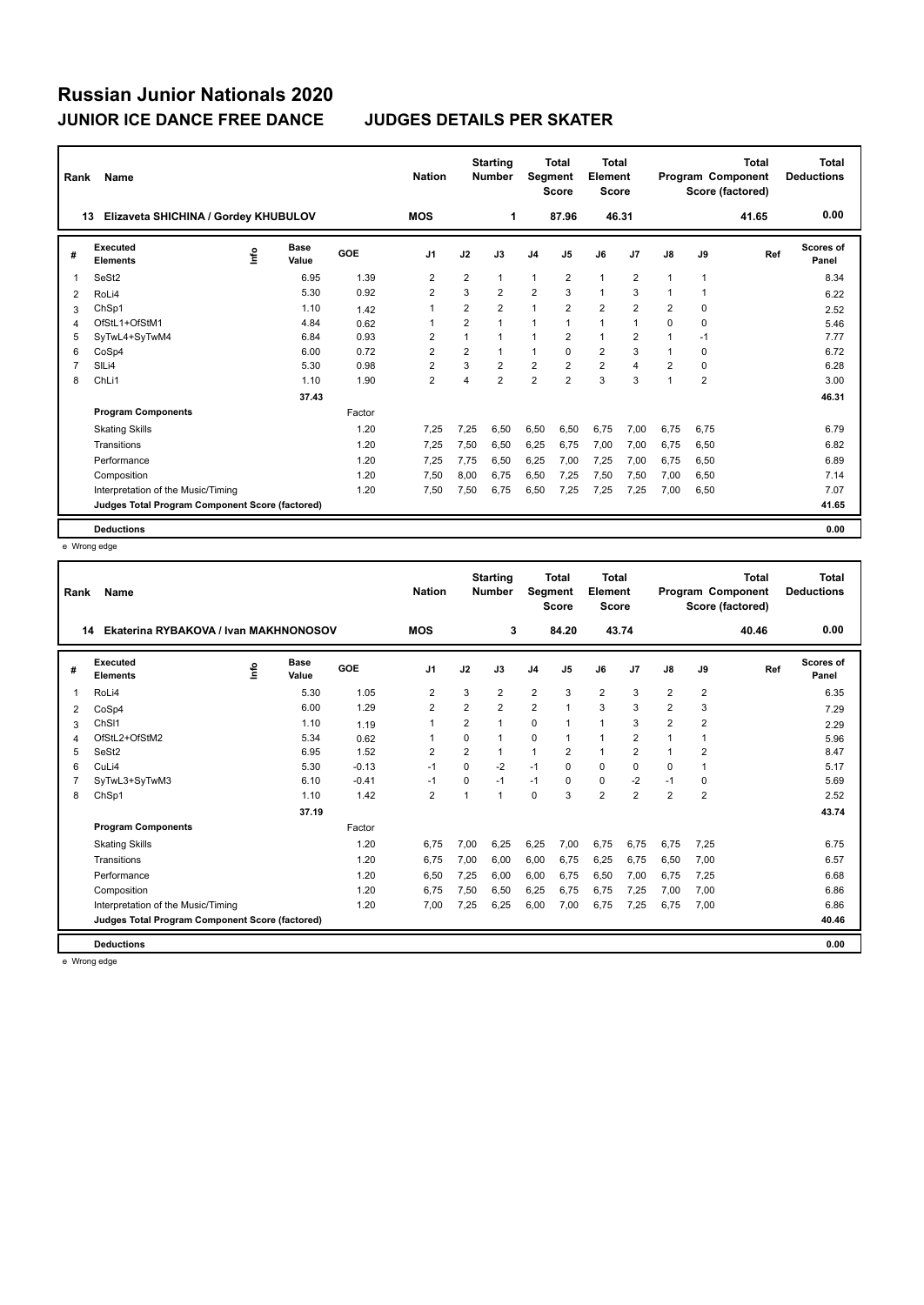| Rank | Name                                            |      |                      |        | <b>Nation</b>  |                | <b>Starting</b><br><b>Number</b> | Segment        | Total<br><b>Score</b> | <b>Total</b><br>Element<br><b>Score</b> |                         |                          |                | <b>Total</b><br>Program Component<br>Score (factored) | <b>Total</b><br><b>Deductions</b> |
|------|-------------------------------------------------|------|----------------------|--------|----------------|----------------|----------------------------------|----------------|-----------------------|-----------------------------------------|-------------------------|--------------------------|----------------|-------------------------------------------------------|-----------------------------------|
|      | Elizaveta SHICHINA / Gordey KHUBULOV<br>13      |      |                      |        | <b>MOS</b>     |                | 1                                |                | 87.96                 | 46.31                                   |                         |                          |                | 41.65                                                 | 0.00                              |
| #    | Executed<br><b>Elements</b>                     | ١nf٥ | <b>Base</b><br>Value | GOE    | J <sub>1</sub> | J2             | J3                               | J <sub>4</sub> | J <sub>5</sub>        | J6                                      | J7                      | J8                       | J9             | Ref                                                   | <b>Scores of</b><br>Panel         |
| 1    | SeSt <sub>2</sub>                               |      | 6.95                 | 1.39   | 2              | $\overline{2}$ | 1                                | $\overline{1}$ | 2                     | 1                                       | $\overline{2}$          | $\overline{\phantom{a}}$ | 1              |                                                       | 8.34                              |
| 2    | RoLi4                                           |      | 5.30                 | 0.92   | $\overline{2}$ | 3              | $\overline{2}$                   | $\overline{2}$ | 3                     | $\mathbf{1}$                            | 3                       | 1                        | 1              |                                                       | 6.22                              |
| 3    | ChSp1                                           |      | 1.10                 | 1.42   | 1              | $\overline{2}$ | $\overline{2}$                   | $\mathbf{1}$   | $\overline{2}$        | $\overline{2}$                          | $\overline{2}$          | 2                        | 0              |                                                       | 2.52                              |
| 4    | OfStL1+OfStM1                                   |      | 4.84                 | 0.62   | 1              | $\overline{2}$ | 1                                | $\overline{1}$ | $\overline{1}$        | $\mathbf{1}$                            | $\mathbf{1}$            | 0                        | 0              |                                                       | 5.46                              |
| 5    | SyTwL4+SyTwM4                                   |      | 6.84                 | 0.93   | 2              |                | $\mathbf{1}$                     | 1              | 2                     | $\mathbf{1}$                            | $\overline{2}$          |                          | $-1$           |                                                       | 7.77                              |
| 6    | CoSp4                                           |      | 6.00                 | 0.72   | $\overline{2}$ | $\overline{2}$ | $\mathbf{1}$                     | $\overline{1}$ | $\Omega$              | $\overline{2}$                          | 3                       | 1                        | 0              |                                                       | 6.72                              |
| 7    | SILi4                                           |      | 5.30                 | 0.98   | 2              | 3              | $\overline{2}$                   | $\overline{2}$ | $\overline{2}$        | $\overline{2}$                          | $\overline{\mathbf{4}}$ | 2                        | 0              |                                                       | 6.28                              |
| 8    | ChLi1                                           |      | 1.10                 | 1.90   | $\overline{2}$ | 4              | $\overline{2}$                   | $\overline{2}$ | $\overline{2}$        | 3                                       | 3                       | 1                        | $\overline{2}$ |                                                       | 3.00                              |
|      |                                                 |      | 37.43                |        |                |                |                                  |                |                       |                                         |                         |                          |                |                                                       | 46.31                             |
|      | <b>Program Components</b>                       |      |                      | Factor |                |                |                                  |                |                       |                                         |                         |                          |                |                                                       |                                   |
|      | <b>Skating Skills</b>                           |      |                      | 1.20   | 7,25           | 7,25           | 6.50                             | 6,50           | 6,50                  | 6,75                                    | 7,00                    | 6.75                     | 6,75           |                                                       | 6.79                              |
|      | Transitions                                     |      |                      | 1.20   | 7,25           | 7,50           | 6,50                             | 6,25           | 6,75                  | 7,00                                    | 7,00                    | 6,75                     | 6,50           |                                                       | 6.82                              |
|      | Performance                                     |      |                      | 1.20   | 7,25           | 7,75           | 6,50                             | 6,25           | 7,00                  | 7,25                                    | 7,00                    | 6,75                     | 6,50           |                                                       | 6.89                              |
|      | Composition                                     |      |                      | 1.20   | 7,50           | 8,00           | 6,75                             | 6,50           | 7,25                  | 7,50                                    | 7,50                    | 7,00                     | 6,50           |                                                       | 7.14                              |
|      | Interpretation of the Music/Timing              |      |                      | 1.20   | 7,50           | 7,50           | 6,75                             | 6,50           | 7,25                  | 7,25                                    | 7,25                    | 7,00                     | 6,50           |                                                       | 7.07                              |
|      | Judges Total Program Component Score (factored) |      |                      |        |                |                |                                  |                |                       |                                         |                         |                          |                |                                                       | 41.65                             |
|      | <b>Deductions</b>                               |      |                      |        |                |                |                                  |                |                       |                                         |                         |                          |                |                                                       | 0.00                              |

e Wrong edge

| Rank | Name                                            |      |                      |         | <b>Nation</b>  |                | <b>Starting</b><br><b>Number</b> | Segment        | Total<br><b>Score</b> | <b>Total</b><br>Element<br>Score |                |                |                | <b>Total</b><br><b>Program Component</b><br>Score (factored) | <b>Total</b><br><b>Deductions</b> |
|------|-------------------------------------------------|------|----------------------|---------|----------------|----------------|----------------------------------|----------------|-----------------------|----------------------------------|----------------|----------------|----------------|--------------------------------------------------------------|-----------------------------------|
| 14   | Ekaterina RYBAKOVA / Ivan MAKHNONOSOV           |      |                      |         | <b>MOS</b>     |                | 3                                |                | 84.20                 | 43.74                            |                |                |                | 40.46                                                        | 0.00                              |
| #    | Executed<br><b>Elements</b>                     | lnfo | <b>Base</b><br>Value | GOE     | J <sub>1</sub> | J2             | J3                               | J <sub>4</sub> | J <sub>5</sub>        | J6                               | J7             | J8             | J9             | Ref                                                          | Scores of<br>Panel                |
| 1    | RoLi4                                           |      | 5.30                 | 1.05    | $\overline{2}$ | 3              | $\overline{2}$                   | $\overline{2}$ | 3                     | $\overline{2}$                   | 3              | $\overline{2}$ | $\overline{2}$ |                                                              | 6.35                              |
| 2    | CoSp4                                           |      | 6.00                 | 1.29    | $\overline{2}$ | $\overline{2}$ | $\overline{2}$                   | $\overline{2}$ | $\overline{1}$        | 3                                | 3              | $\overline{2}$ | 3              |                                                              | 7.29                              |
| 3    | ChS <sub>11</sub>                               |      | 1.10                 | 1.19    | $\mathbf 1$    | 2              | 1                                | 0              | $\mathbf{1}$          | $\mathbf{1}$                     | 3              | 2              | 2              |                                                              | 2.29                              |
| 4    | OfStL2+OfStM2                                   |      | 5.34                 | 0.62    | 1              | $\Omega$       | 1                                | $\Omega$       | $\overline{1}$        | $\mathbf{1}$                     | $\overline{2}$ |                | $\mathbf{1}$   |                                                              | 5.96                              |
| 5    | SeSt <sub>2</sub>                               |      | 6.95                 | 1.52    | $\overline{2}$ | $\overline{2}$ | 1                                | $\overline{1}$ | $\overline{2}$        | $\mathbf{1}$                     | $\overline{2}$ |                | $\overline{2}$ |                                                              | 8.47                              |
| 6    | CuLi4                                           |      | 5.30                 | $-0.13$ | $-1$           | $\Omega$       | $-2$                             | $-1$           | $\Omega$              | $\mathbf 0$                      | $\Omega$       | $\Omega$       | $\mathbf{1}$   |                                                              | 5.17                              |
| 7    | SyTwL3+SyTwM3                                   |      | 6.10                 | $-0.41$ | $-1$           | $\Omega$       | $-1$                             | $-1$           | $\Omega$              | $\Omega$                         | $-2$           | $-1$           | 0              |                                                              | 5.69                              |
| 8    | ChSp1                                           |      | 1.10                 | 1.42    | $\overline{2}$ |                | 1                                | $\Omega$       | 3                     | $\overline{2}$                   | 2              | $\overline{2}$ | $\overline{2}$ |                                                              | 2.52                              |
|      |                                                 |      | 37.19                |         |                |                |                                  |                |                       |                                  |                |                |                |                                                              | 43.74                             |
|      | <b>Program Components</b>                       |      |                      | Factor  |                |                |                                  |                |                       |                                  |                |                |                |                                                              |                                   |
|      | <b>Skating Skills</b>                           |      |                      | 1.20    | 6.75           | 7.00           | 6.25                             | 6,25           | 7.00                  | 6.75                             | 6.75           | 6.75           | 7.25           |                                                              | 6.75                              |
|      | Transitions                                     |      |                      | 1.20    | 6.75           | 7,00           | 6,00                             | 6,00           | 6,75                  | 6,25                             | 6.75           | 6,50           | 7,00           |                                                              | 6.57                              |
|      | Performance                                     |      |                      | 1.20    | 6,50           | 7,25           | 6,00                             | 6,00           | 6,75                  | 6,50                             | 7,00           | 6.75           | 7,25           |                                                              | 6.68                              |
|      | Composition                                     |      |                      | 1.20    | 6.75           | 7,50           | 6,50                             | 6,25           | 6.75                  | 6,75                             | 7,25           | 7,00           | 7,00           |                                                              | 6.86                              |
|      | Interpretation of the Music/Timing              |      |                      | 1.20    | 7.00           | 7,25           | 6,25                             | 6,00           | 7,00                  | 6.75                             | 7.25           | 6.75           | 7.00           |                                                              | 6.86                              |
|      | Judges Total Program Component Score (factored) |      |                      |         |                |                |                                  |                |                       |                                  |                |                |                |                                                              | 40.46                             |
|      | <b>Deductions</b>                               |      |                      |         |                |                |                                  |                |                       |                                  |                |                |                |                                                              | 0.00                              |

e Wrong edge